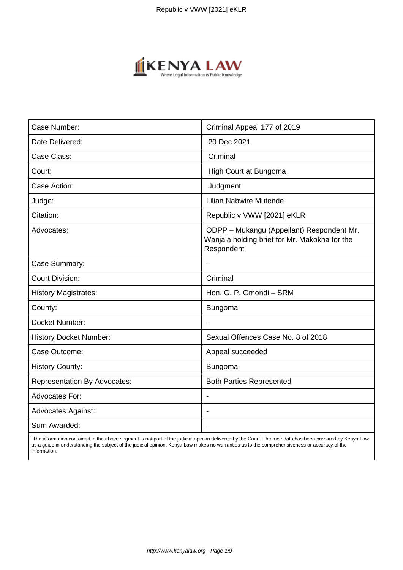

| Case Number:                        | Criminal Appeal 177 of 2019                                                                              |
|-------------------------------------|----------------------------------------------------------------------------------------------------------|
| Date Delivered:                     | 20 Dec 2021                                                                                              |
| Case Class:                         | Criminal                                                                                                 |
| Court:                              | High Court at Bungoma                                                                                    |
| Case Action:                        | Judgment                                                                                                 |
| Judge:                              | <b>Lilian Nabwire Mutende</b>                                                                            |
| Citation:                           | Republic v VWW [2021] eKLR                                                                               |
| Advocates:                          | ODPP - Mukangu (Appellant) Respondent Mr.<br>Wanjala holding brief for Mr. Makokha for the<br>Respondent |
| Case Summary:                       | $\overline{\phantom{a}}$                                                                                 |
| <b>Court Division:</b>              | Criminal                                                                                                 |
| <b>History Magistrates:</b>         | Hon. G. P. Omondi - SRM                                                                                  |
| County:                             | <b>Bungoma</b>                                                                                           |
| Docket Number:                      |                                                                                                          |
| <b>History Docket Number:</b>       | Sexual Offences Case No. 8 of 2018                                                                       |
| Case Outcome:                       | Appeal succeeded                                                                                         |
| <b>History County:</b>              | <b>Bungoma</b>                                                                                           |
| <b>Representation By Advocates:</b> | <b>Both Parties Represented</b>                                                                          |
| <b>Advocates For:</b>               |                                                                                                          |
| <b>Advocates Against:</b>           |                                                                                                          |
| Sum Awarded:                        | $\blacksquare$                                                                                           |

 The information contained in the above segment is not part of the judicial opinion delivered by the Court. The metadata has been prepared by Kenya Law as a guide in understanding the subject of the judicial opinion. Kenya Law makes no warranties as to the comprehensiveness or accuracy of the information.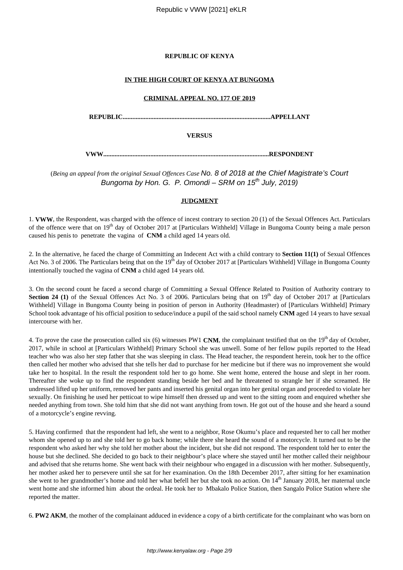# **REPUBLIC OF KENYA**

# **IN THE HIGH COURT OF KENYA AT BUNGOMA**

#### **CRIMINAL APPEAL NO. 177 OF 2019**

**REPUBLIC...........................................................................................APPELLANT**

**VERSUS**

**VWW......................................................................................................RESPONDENT**

(*Being an appeal from the original Sexual Offences Case* No. 8 of 2018 at the Chief Magistrate's Court Bungoma by Hon. G. P. Omondi – SRM on  $15<sup>th</sup>$  July, 2019)

# **JUDGMENT**

1. **VWW**, the Respondent, was charged with the offence of incest contrary to section 20 (1) of the Sexual Offences Act. Particulars of the offence were that on 19th day of October 2017 at [Particulars Withheld] Village in Bungoma County being a male person caused his penis to penetrate the vagina of **CNM** a child aged 14 years old.

2. In the alternative, he faced the charge of Committing an Indecent Act with a child contrary to **Section 11(1)** of Sexual Offences Act No. 3 of 2006. The Particulars being that on the  $19<sup>th</sup>$  day of October 2017 at [Particulars Withheld] Village in Bungoma County intentionally touched the vagina of **CNM** a child aged 14 years old.

3. On the second count he faced a second charge of Committing a Sexual Offence Related to Position of Authority contrary to **Section 24 (1)** of the Sexual Offences Act No. 3 of 2006. Particulars being that on 19<sup>th</sup> day of October 2017 at [Particulars Withheld] Village in Bungoma County being in position of person in Authority (Headmaster) of [Particulars Withheld] Primary School took advantage of his official position to seduce/induce a pupil of the said school namely **CNM** aged 14 years to have sexual intercourse with her.

4. To prove the case the prosecution called six (6) witnesses PW1 **CNM**, the complainant testified that on the 19<sup>th</sup> day of October. 2017, while in school at [Particulars Withheld] Primary School she was unwell. Some of her fellow pupils reported to the Head teacher who was also her step father that she was sleeping in class. The Head teacher, the respondent herein, took her to the office then called her mother who advised that she tells her dad to purchase for her medicine but if there was no improvement she would take her to hospital. In the result the respondent told her to go home. She went home, entered the house and slept in her room. Thereafter she woke up to find the respondent standing beside her bed and he threatened to strangle her if she screamed. He undressed lifted up her uniform, removed her pants and inserted his genital organ into her genital organ and proceeded to violate her sexually. On finishing he used her petticoat to wipe himself then dressed up and went to the sitting room and enquired whether she needed anything from town. She told him that she did not want anything from town. He got out of the house and she heard a sound of a motorcycle's engine revving.

5. Having confirmed that the respondent had left, she went to a neighbor, Rose Okumu's place and requested her to call her mother whom she opened up to and she told her to go back home; while there she heard the sound of a motorcycle. It turned out to be the respondent who asked her why she told her mother about the incident, but she did not respond. The respondent told her to enter the house but she declined. She decided to go back to their neighbour's place where she stayed until her mother called their neighbour and advised that she returns home. She went back with their neighbour who engaged in a discussion with her mother. Subsequently, her mother asked her to persevere until she sat for her examination. On the 18th December 2017, after sitting for her examination she went to her grandmother's home and told her what befell her but she took no action. On  $14<sup>th</sup>$  January 2018, her maternal uncle went home and she informed him about the ordeal. He took her to Mbakalo Police Station, then Sangalo Police Station where she reported the matter.

6. **PW2 AKM**, the mother of the complainant adduced in evidence a copy of a birth certificate for the complainant who was born on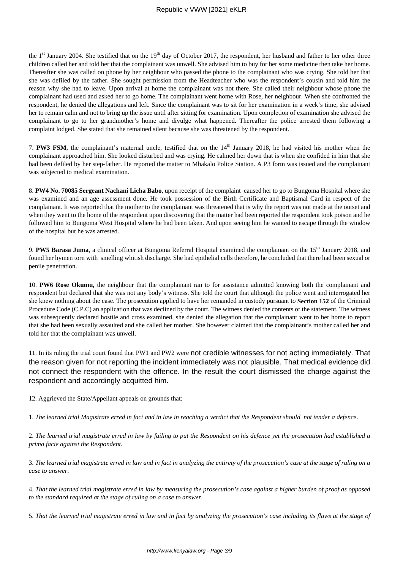the  $1<sup>st</sup>$  January 2004. She testified that on the  $19<sup>th</sup>$  day of October 2017, the respondent, her husband and father to her other three children called her and told her that the complainant was unwell. She advised him to buy for her some medicine then take her home. Thereafter she was called on phone by her neighbour who passed the phone to the complainant who was crying. She told her that she was defiled by the father. She sought permission from the Headteacher who was the respondent's cousin and told him the reason why she had to leave. Upon arrival at home the complainant was not there. She called their neighbour whose phone the complainant had used and asked her to go home. The complainant went home with Rose, her neighbour. When she confronted the respondent, he denied the allegations and left. Since the complainant was to sit for her examination in a week's time, she advised her to remain calm and not to bring up the issue until after sitting for examination. Upon completion of examination she advised the complainant to go to her grandmother's home and divulge what happened. Thereafter the police arrested them following a complaint lodged. She stated that she remained silent because she was threatened by the respondent.

7. **PW3 FSM**, the complainant's maternal uncle, testified that on the 14<sup>th</sup> January 2018, he had visited his mother when the complainant approached him. She looked disturbed and was crying. He calmed her down that is when she confided in him that she had been defiled by her step-father. He reported the matter to Mbakalo Police Station. A P3 form was issued and the complainant was subjected to medical examination.

8. **PW4 No. 70085 Sergeant Nachani Licha Babo**, upon receipt of the complaint caused her to go to Bungoma Hospital where she was examined and an age assessment done. He took possession of the Birth Certificate and Baptismal Card in respect of the complainant. It was reported that the mother to the complainant was threatened that is why the report was not made at the outset and when they went to the home of the respondent upon discovering that the matter had been reported the respondent took poison and he followed him to Bungoma West Hospital where he had been taken. And upon seeing him he wanted to escape through the window of the hospital but he was arrested.

9. PW5 Barasa Juma, a clinical officer at Bungoma Referral Hospital examined the complainant on the 15<sup>th</sup> January 2018, and found her hymen torn with smelling whitish discharge. She had epithelial cells therefore, he concluded that there had been sexual or penile penetration.

10. **PW6 Rose Okumu,** the neighbour that the complainant ran to for assistance admitted knowing both the complainant and respondent but declared that she was not any body's witness. She told the court that although the police went and interrogated her she knew nothing about the case. The prosecution applied to have her remanded in custody pursuant to **Section 152** of the Criminal Procedure Code (C.P.C) an application that was declined by the court. The witness denied the contents of the statement. The witness was subsequently declared hostile and cross examined, she denied the allegation that the complainant went to her home to report that she had been sexually assaulted and she called her mother. She however claimed that the complainant's mother called her and told her that the complainant was unwell.

11. In its ruling the trial court found that PW1 and PW2 were not credible witnesses for not acting immediately. That the reason given for not reporting the incident immediately was not plausible. That medical evidence did not connect the respondent with the offence. In the result the court dismissed the charge against the respondent and accordingly acquitted him.

12. Aggrieved the State/Appellant appeals on grounds that:

1. *The learned trial Magistrate erred in fact and in law in reaching a verdict that the Respondent should not tender a defence*.

2. *The learned trial magistrate erred in law by failing to put the Respondent on his defence yet the prosecution had established a prima facie against the Respondent*.

3. *The learned trial magistrate erred in law and in fact in analyzing the entirety of the prosecution's case at the stage of ruling on a case to answer*.

4. *That the learned trial magistrate erred in law by measuring the prosecution's case against a higher burden of proof as opposed to the standard required at the stage of ruling on a case to answer*.

5. *That the learned trial magistrate erred in law and in fact by analyzing the prosecution's case including its flaws at the stage of*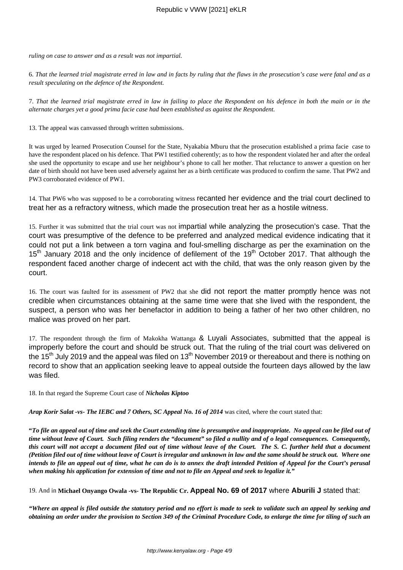*ruling on case to answer and as a result was not impartial.* 

6. *That the learned trial magistrate erred in law and in facts by ruling that the flaws in the prosecution's case were fatal and as a result speculating on the defence of the Respondent.* 

7. *That the learned trial magistrate erred in law in failing to place the Respondent on his defence in both the main or in the alternate charges yet a good prima facie case had been established as against the Respondent.*

13. The appeal was canvassed through written submissions.

It was urged by learned Prosecution Counsel for the State, Nyakabia Mburu that the prosecution established a prima facie case to have the respondent placed on his defence. That PW1 testified coherently; as to how the respondent violated her and after the ordeal she used the opportunity to escape and use her neighbour's phone to call her mother. That reluctance to answer a question on her date of birth should not have been used adversely against her as a birth certificate was produced to confirm the same. That PW2 and PW3 corroborated evidence of PW1.

14. That PW6 who was supposed to be a corroborating witness recanted her evidence and the trial court declined to treat her as a refractory witness, which made the prosecution treat her as a hostile witness.

15. Further it was submitted that the trial court was not impartial while analyzing the prosecution's case. That the court was presumptive of the defence to be preferred and analyzed medical evidence indicating that it could not put a link between a torn vagina and foul-smelling discharge as per the examination on the 15<sup>th</sup> January 2018 and the only incidence of defilement of the 19<sup>th</sup> October 2017. That although the respondent faced another charge of indecent act with the child, that was the only reason given by the court.

16. The court was faulted for its assessment of PW2 that she did not report the matter promptly hence was not credible when circumstances obtaining at the same time were that she lived with the respondent, the suspect, a person who was her benefactor in addition to being a father of her two other children, no malice was proved on her part.

17. The respondent through the firm of Makokha Wattanga & Luyali Associates, submitted that the appeal is improperly before the court and should be struck out. That the ruling of the trial court was delivered on the 15<sup>th</sup> July 2019 and the appeal was filed on 13<sup>th</sup> November 2019 or thereabout and there is nothing on record to show that an application seeking leave to appeal outside the fourteen days allowed by the law was filed.

18. In that regard the Supreme Court case of *Nicholas Kiptoo* 

*Arap Korir Salat -vs- The IEBC and 7 Others, SC Appeal No. 16 of 2014* was cited, where the court stated that:

**"***To file an appeal out of time and seek the Court extending time is presumptive and inappropriate. No appeal can be filed out of time without leave of Court. Such filing renders the "document" so filed a nullity and of o legal consequences. Consequently, this court will not accept a document filed out of time without leave of the Court. The S. C. further held that a document (Petition filed out of time without leave of Court is irregular and unknown in law and the same should be struck out. Where one intends to file an appeal out of time, what he can do is to annex the draft intended Petition of Appeal for the Court's perusal when making his application for extension of time and not to file an Appeal and seek to legalize it."* 

19. And in **Michael Onyango Owala -vs- The Republic Cr. Appeal No. 69 of 2017** where **Aburili J** stated that:

*"Where an appeal is filed outside the statutory period and no effort is made to seek to validate such an appeal by seeking and obtaining an order under the provision to Section 349 of the Criminal Procedure Code, to enlarge the time for tiling of such an*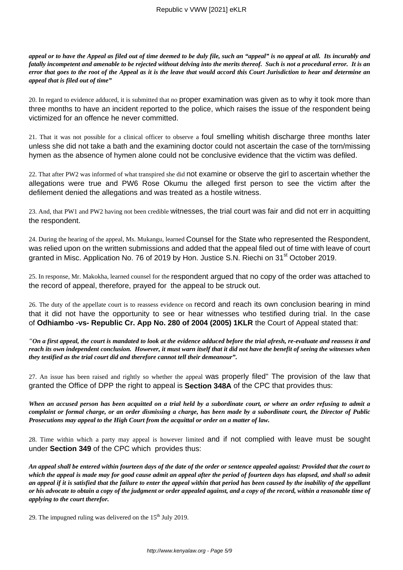*appeal or to have the Appeal as filed out of time deemed to be duly file, such an "appeal" is no appeal at all. Its incurably and fatally incompetent and amenable to be rejected without delving into the merits thereof. Such is not a procedural error. It is an error that goes to the root of the Appeal as it is the leave that would accord this Court Jurisdiction to hear and determine an appeal that is filed out of time"*

20. In regard to evidence adduced, it is submitted that no proper examination was given as to why it took more than three months to have an incident reported to the police, which raises the issue of the respondent being victimized for an offence he never committed.

21. That it was not possible for a clinical officer to observe a foul smelling whitish discharge three months later unless she did not take a bath and the examining doctor could not ascertain the case of the torn/missing hymen as the absence of hymen alone could not be conclusive evidence that the victim was defiled.

22. That after PW2 was informed of what transpired she did not examine or observe the girl to ascertain whether the allegations were true and PW6 Rose Okumu the alleged first person to see the victim after the defilement denied the allegations and was treated as a hostile witness.

23. And, that PW1 and PW2 having not been credible witnesses, the trial court was fair and did not err in acquitting the respondent.

24. During the hearing of the appeal, Ms. Mukangu, learned Counsel for the State who represented the Respondent, was relied upon on the written submissions and added that the appeal filed out of time with leave of court granted in Misc. Application No. 76 of 2019 by Hon. Justice S.N. Riechi on 31<sup>st</sup> October 2019.

25. In response, Mr. Makokha, learned counsel for the respondent argued that no copy of the order was attached to the record of appeal, therefore, prayed for the appeal to be struck out.

26. The duty of the appellate court is to reassess evidence on record and reach its own conclusion bearing in mind that it did not have the opportunity to see or hear witnesses who testified during trial. In the case of **Odhiambo -vs- Republic Cr. App No. 280 of 2004 (2005) 1KLR** the Court of Appeal stated that:

*"On a first appeal, the court is mandated to look at the evidence adduced before the trial afresh, re-evaluate and reassess it and reach its own independent conclusion. However, it must warn itself that it did not have the benefit of seeing the witnesses when they testified as the trial court did and therefore cannot tell their demeanour".*

27. An issue has been raised and rightly so whether the appeal was properly filed" The provision of the law that granted the Office of DPP the right to appeal is **Section 348A** of the CPC that provides thus:

*When an accused person has been acquitted on a trial held by a subordinate court, or where an order refusing to admit a complaint or formal charge, or an order dismissing a charge, has been made by a subordinate court, the Director of Public Prosecutions may appeal to the High Court from the acquittal or order on a matter of law.* 

28. Time within which a party may appeal is however limited and if not complied with leave must be sought under **Section 349** of the CPC which provides thus:

*An appeal shall be entered within fourteen days of the date of the order or sentence appealed against: Provided that the court to which the appeal is made may for good cause admit an appeal after the period of fourteen days has elapsed, and shall so admit an appeal if it is satisfied that the failure to enter the appeal within that period has been caused by the inability of the appellant or his advocate to obtain a copy of the judgment or order appealed against, and a copy of the record, within a reasonable time of applying to the court therefor.*

29. The impugned ruling was delivered on the  $15<sup>th</sup>$  July 2019.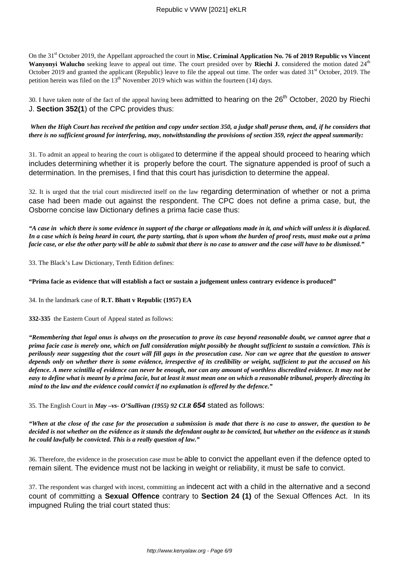On the 31<sup>st</sup> October 2019, the Appellant approached the court in Misc. Criminal Application No. 76 of 2019 Republic vs Vincent Wanyonyi Walucho seeking leave to appeal out time. The court presided over by Riechi J. considered the motion dated 24<sup>th</sup> October 2019 and granted the applicant (Republic) leave to file the appeal out time. The order was dated  $31<sup>st</sup>$  October, 2019. The petition herein was filed on the  $13<sup>th</sup>$  November 2019 which was within the fourteen (14) days.

30. I have taken note of the fact of the appeal having been admitted to hearing on the 26<sup>th</sup> October, 2020 by Riechi J. **Section 352(1**) of the CPC provides thus:

*When the High Court has received the petition and copy under section 350, a judge shall peruse them, and, if he considers that there is no sufficient ground for interfering, may, notwithstanding the provisions of section 359, reject the appeal summarily:*

31. To admit an appeal to hearing the court is obligated to determine if the appeal should proceed to hearing which includes determining whether it is properly before the court. The signature appended is proof of such a determination. In the premises, I find that this court has jurisdiction to determine the appeal.

32. It is urged that the trial court misdirected itself on the law regarding determination of whether or not a prima case had been made out against the respondent. The CPC does not define a prima case, but, the Osborne concise law Dictionary defines a prima facie case thus:

*"A case in which there is some evidence in support of the charge or allegations made in it, and which will unless it is displaced. In a case which is being heard in court, the party starting, that is upon whom the burden of proof rests, must make out a prima facie case, or else the other party will be able to submit that there is no case to answer and the case will have to be dismissed."*

33. The Black's Law Dictionary, Tenth Edition defines:

**"Prima facie as evidence that will establish a fact or sustain a judgement unless contrary evidence is produced"**

34. In the landmark case of **R.T. Bhatt v Republic (1957) EA** 

**332-335** the Eastern Court of Appeal stated as follows:

*"Remembering that legal onus is always on the prosecution to prove its case beyond reasonable doubt, we cannot agree that a prima facie case is merely one, which on full consideration might possibly be thought sufficient to sustain a conviction. This is perilously near suggesting that the court will fill gaps in the prosecution case. Nor can we agree that the question to answer depends only on whether there is some evidence, irrespective of its credibility or weight, sufficient to put the accused on his defence. A mere scintilla of evidence can never be enough, nor can any amount of worthless discredited evidence. It may not be easy to define what is meant by a prima facie, but at least it must mean one on which a reasonable tribunal, properly directing its mind to the law and the evidence could convict if no explanation is offered by the defence."*

35. The English Court in *May –vs- O'Sullivan (1955) 92 CLR* **654** stated as follows:

*"When at the close of the case for the prosecution a submission is made that there is no case to answer, the question to be decided is not whether on the evidence as it stands the defendant ought to be convicted, but whether on the evidence as it stands he could lawfully be convicted. This is a really question of law."*

36. Therefore, the evidence in the prosecution case must be able to convict the appellant even if the defence opted to remain silent. The evidence must not be lacking in weight or reliability, it must be safe to convict.

37. The respondent was charged with incest, committing an indecent act with a child in the alternative and a second count of committing a **Sexual Offence** contrary to **Section 24 (1)** of the Sexual Offences Act. In its impugned Ruling the trial court stated thus: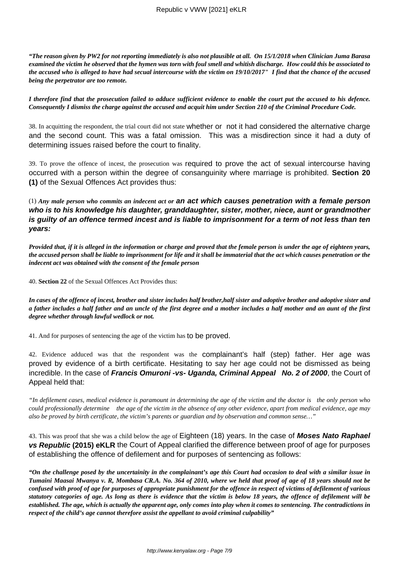*"The reason given by PW2 for not reporting immediately is also not plausible at all. On 15/1/2018 when Clinician Juma Barasa examined the victim he observed that the hymen was torn with foul smell and whitish discharge. How could this be associated to the accused who is alleged to have had secual intercourse with the victim on 19/10/2017" I find that the chance of the accused being the perpetrator are too remote.*

*I therefore find that the prosecution failed to adduce sufficient evidence to enable the court put the accused to his defence. Consequently I dismiss the charge against the accused and acquit him under Section 210 of the Criminal Procedure Code.*

38. In acquitting the respondent, the trial court did not state whether or not it had considered the alternative charge and the second count. This was a fatal omission. This was a misdirection since it had a duty of determining issues raised before the court to finality.

39. To prove the offence of incest, the prosecution was required to prove the act of sexual intercourse having occurred with a person within the degree of consanguinity where marriage is prohibited. **Section 20 (1)** of the Sexual Offences Act provides thus:

(1) *Any male person who commits an indecent act or* **an act which causes penetration with a female person who is to his knowledge his daughter, granddaughter, sister, mother, niece, aunt or grandmother is guilty of an offence termed incest and is liable to imprisonment for a term of not less than ten years:**

*Provided that, if it is alleged in the information or charge and proved that the female person is under the age of eighteen years, the accused person shall be liable to imprisonment for life and it shall be immaterial that the act which causes penetration or the indecent act was obtained with the consent of the female person*

40. **Section 22** of the Sexual Offences Act Provides thus:

*In cases of the offence of incest, brother and sister includes half brother,half sister and adoptive brother and adoptive sister and a father includes a half father and an uncle of the first degree and a mother includes a half mother and an aunt of the first degree whether through lawful wedlock or not.*

41. And for purposes of sentencing the age of the victim has to be proved.

42. Evidence adduced was that the respondent was the complainant's half (step) father. Her age was proved by evidence of a birth certificate. Hesitating to say her age could not be dismissed as being incredible. In the case of **Francis Omuroni -vs- Uganda, Criminal Appeal No. 2 of 2000**, the Court of Appeal held that:

*"In defilement cases, medical evidence is paramount in determining the age of the victim and the doctor is the only person who could professionally determine the age of the victim in the absence of any other evidence, apart from medical evidence, age may also be proved by birth certificate, the victim's parents or guardian and by observation and common sense…"*

43. This was proof that she was a child below the age of Eighteen (18) years. In the case of **Moses Nato Raphael vs Republic (2015) eKLR** the Court of Appeal clarified the difference between proof of age for purposes of establishing the offence of defilement and for purposes of sentencing as follows:

*"On the challenge posed by the uncertainity in the complainant's age this Court had occasion to deal with a similar issue in Tumaini Maasai Mwanya v. R, Mombasa CR.A. No. 364 of 2010, where we held that proof of age of 18 years should not be confused with proof of age for purposes of appropriate punishment for the offence in respect of victims of defilement of various statutory categories of age. As long as there is evidence that the victim is below 18 years, the offence of defilement will be established. The age, which is actually the apparent age, only comes into play when it comes to sentencing. The contradictions in respect of the child's age cannot therefore assist the appellant to avoid criminal culpability"*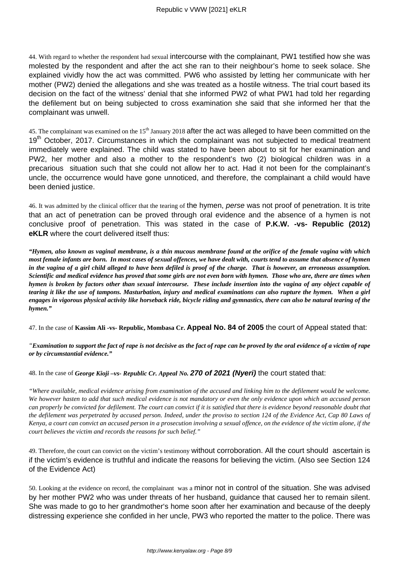44. With regard to whether the respondent had sexual intercourse with the complainant, PW1 testified how she was molested by the respondent and after the act she ran to their neighbour's home to seek solace. She explained vividly how the act was committed. PW6 who assisted by letting her communicate with her mother (PW2) denied the allegations and she was treated as a hostile witness. The trial court based its decision on the fact of the witness' denial that she informed PW2 of what PW1 had told her regarding the defilement but on being subjected to cross examination she said that she informed her that the complainant was unwell.

45. The complainant was examined on the 15<sup>th</sup> January 2018 after the act was alleged to have been committed on the 19<sup>th</sup> October, 2017. Circumstances in which the complainant was not subjected to medical treatment immediately were explained. The child was stated to have been about to sit for her examination and PW2, her mother and also a mother to the respondent's two (2) biological children was in a precarious situation such that she could not allow her to act. Had it not been for the complainant's uncle, the occurrence would have gone unnoticed, and therefore, the complainant a child would have been denied justice.

46. It was admitted by the clinical officer that the tearing of the hymen, perse was not proof of penetration. It is trite that an act of penetration can be proved through oral evidence and the absence of a hymen is not conclusive proof of penetration. This was stated in the case of **P.K.W. -vs- Republic (2012) eKLR** where the court delivered itself thus:

*"Hymen, also known as vaginal membrane, is a thin mucous membrane found at the orifice of the female vagina with which most female infants are born. In most cases of sexual offences, we have dealt with, courts tend to assume that absence of hymen in the vagina of a girl child alleged to have been defiled is proof of the charge. That is however, an erroneous assumption. Scientific and medical evidence has proved that some girls are not even born with hymen. Those who are, there are times when hymen is broken by factors other than sexual intercourse. These include insertion into the vagina of any object capable of tearing it like the use of tampons. Masturbation, injury and medical examinations can also rupture the hymen. When a girl engages in vigorous physical activity like horseback ride, bicycle riding and gymnastics, there can also be natural tearing of the hymen."*

47. In the case of **Kassim Ali -vs- Republic, Mombasa Cr. Appeal No. 84 of 2005** the court of Appeal stated that:

*"Examination to support the fact of rape is not decisive as the fact of rape can be proved by the oral evidence of a victim of rape or by circumstantial evidence."*

48. In the case of *George Kioji –vs- Republic Cr. Appeal No.* **270 of 2021 (Nyeri)** the court stated that:

*"Where available, medical evidence arising from examination of the accused and linking him to the defilement would be welcome. We however hasten to add that such medical evidence is not mandatory or even the only evidence upon which an accused person can properly be convicted for defilement. The court can convict if it is satisfied that there is evidence beyond reasonable doubt that the defilement was perpetrated by accused person. Indeed, under the proviso to section 124 of the Evidence Act, Cap 80 Laws of Kenya, a court can convict an accused person in a prosecution involving a sexual offence, on the evidence of the victim alone, if the court believes the victim and records the reasons for such belief."*

49. Therefore, the court can convict on the victim's testimony without corroboration. All the court should ascertain is if the victim's evidence is truthful and indicate the reasons for believing the victim. (Also see Section 124 of the Evidence Act)

50. Looking at the evidence on record, the complainant was a minor not in control of the situation. She was advised by her mother PW2 who was under threats of her husband, guidance that caused her to remain silent. She was made to go to her grandmother's home soon after her examination and because of the deeply distressing experience she confided in her uncle, PW3 who reported the matter to the police. There was